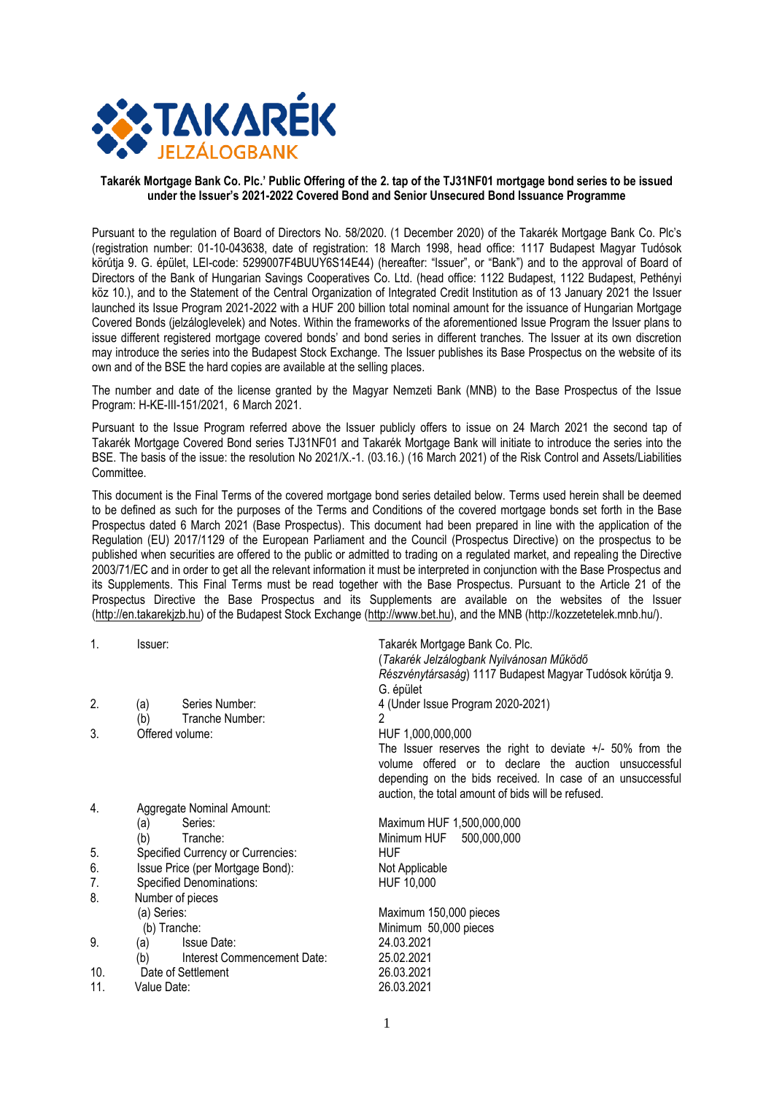

#### **Takarék Mortgage Bank Co. Plc.' Public Offering of the 2. tap of the TJ31NF01 mortgage bond series to be issued under the Issuer's 2021-2022 Covered Bond and Senior Unsecured Bond Issuance Programme**

Pursuant to the regulation of Board of Directors No. 58/2020. (1 December 2020) of the Takarék Mortgage Bank Co. Plc's (registration number: 01-10-043638, date of registration: 18 March 1998, head office: 1117 Budapest Magyar Tudósok körútja 9. G. épület, LEI-code: 5299007F4BUUY6S14E44) (hereafter: "Issuer", or "Bank") and to the approval of Board of Directors of the Bank of Hungarian Savings Cooperatives Co. Ltd. (head office: 1122 Budapest, 1122 Budapest, Pethényi köz 10.), and to the Statement of the Central Organization of Integrated Credit Institution as of 13 January 2021 the Issuer launched its Issue Program 2021-2022 with a HUF 200 billion total nominal amount for the issuance of Hungarian Mortgage Covered Bonds (jelzáloglevelek) and Notes. Within the frameworks of the aforementioned Issue Program the Issuer plans to issue different registered mortgage covered bonds' and bond series in different tranches. The Issuer at its own discretion may introduce the series into the Budapest Stock Exchange. The Issuer publishes its Base Prospectus on the website of its own and of the BSE the hard copies are available at the selling places.

The number and date of the license granted by the Magyar Nemzeti Bank (MNB) to the Base Prospectus of the Issue Program: H-KE-III-151/2021, 6 March 2021.

Pursuant to the Issue Program referred above the Issuer publicly offers to issue on 24 March 2021 the second tap of Takarék Mortgage Covered Bond series TJ31NF01 and Takarék Mortgage Bank will initiate to introduce the series into the BSE. The basis of the issue: the resolution No 2021/X.-1. (03.16.) (16 March 2021) of the Risk Control and Assets/Liabilities Committee.

This document is the Final Terms of the covered mortgage bond series detailed below. Terms used herein shall be deemed to be defined as such for the purposes of the Terms and Conditions of the covered mortgage bonds set forth in the Base Prospectus dated 6 March 2021 (Base Prospectus). This document had been prepared in line with the application of the Regulation (EU) 2017/1129 of the European Parliament and the Council (Prospectus Directive) on the prospectus to be published when securities are offered to the public or admitted to trading on a regulated market, and repealing the Directive 2003/71/EC and in order to get all the relevant information it must be interpreted in conjunction with the Base Prospectus and its Supplements. This Final Terms must be read together with the Base Prospectus. Pursuant to the Article 21 of the Prospectus Directive the Base Prospectus and its Supplements are available on the websites of the Issuer [\(http://en.takarekjzb.hu\)](http://en.takarekjzb.hu/) of the Budapest Stock Exchange [\(http://www.bet.hu\)](http://www.bet.hu/), and the MNB (http://kozzetetelek.mnb.hu/).

| $\mathbf{1}$ . | Issuer:                            | Takarék Mortgage Bank Co. Plc.                              |
|----------------|------------------------------------|-------------------------------------------------------------|
|                |                                    | (Takarék Jelzálogbank Nyilvánosan Működő                    |
|                |                                    | Részvénytársaság) 1117 Budapest Magyar Tudósok körútja 9.   |
|                |                                    | G. épület                                                   |
| 2.             | Series Number:<br>(a)              | 4 (Under Issue Program 2020-2021)                           |
|                | Tranche Number:<br>(b)             | 2                                                           |
| 3.             | Offered volume:                    | HUF 1,000,000,000                                           |
|                |                                    | The Issuer reserves the right to deviate $+/-$ 50% from the |
|                |                                    | volume offered or to declare the auction unsuccessful       |
|                |                                    | depending on the bids received. In case of an unsuccessful  |
|                |                                    | auction, the total amount of bids will be refused.          |
| 4.             | Aggregate Nominal Amount:          |                                                             |
|                | Series:<br>(a)                     | Maximum HUF 1,500,000,000                                   |
|                | (b)<br>Tranche:                    | Minimum HUF<br>500,000,000                                  |
| 5.             | Specified Currency or Currencies:  | <b>HUF</b>                                                  |
| 6.             | Issue Price (per Mortgage Bond):   | Not Applicable                                              |
| 7.             | Specified Denominations:           | HUF 10,000                                                  |
| 8.             | Number of pieces                   |                                                             |
|                | (a) Series:                        | Maximum 150,000 pieces                                      |
|                | (b) Tranche:                       | Minimum 50,000 pieces                                       |
| 9.             | <b>Issue Date:</b><br>(a)          | 24.03.2021                                                  |
|                | Interest Commencement Date:<br>(b) | 25.02.2021                                                  |
| 10.            | Date of Settlement                 | 26.03.2021                                                  |
| 11.            | Value Date:                        | 26.03.2021                                                  |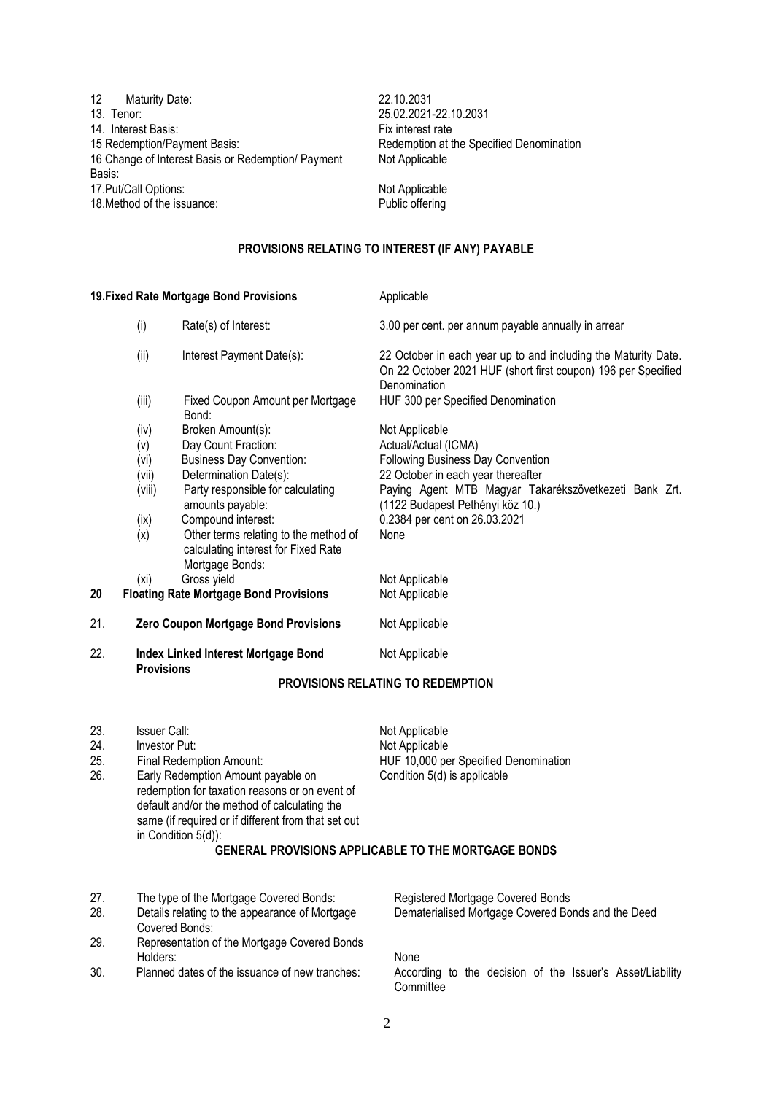| 12<br><b>Maturity Date:</b>                        | 22.10.2031       |
|----------------------------------------------------|------------------|
| 13. Tenor:                                         | 25.02.2021-22    |
| 14. Interest Basis:                                | Fix interest rat |
| 15 Redemption/Payment Basis:                       | Redemption at    |
| 16 Change of Interest Basis or Redemption/ Payment | Not Applicable   |
| Basis:                                             |                  |
| 17. Put/Call Options:                              | Not Applicable   |
| 18. Method of the issuance:                        | Public offering  |

22.10.2031 13. Tenor: 25.02.2021-22.10.2031 Fix interest rate Redemption at the Specified Denomination Not Applicable

# **PROVISIONS RELATING TO INTEREST (IF ANY) PAYABLE**

|                          |                                                       | 19. Fixed Rate Mortgage Bond Provisions                                                                                                                                                                                                                              | Applicable                                                                                                                                                                                                                                              |
|--------------------------|-------------------------------------------------------|----------------------------------------------------------------------------------------------------------------------------------------------------------------------------------------------------------------------------------------------------------------------|---------------------------------------------------------------------------------------------------------------------------------------------------------------------------------------------------------------------------------------------------------|
|                          | (i)                                                   | Rate(s) of Interest:                                                                                                                                                                                                                                                 | 3.00 per cent. per annum payable annually in arrear                                                                                                                                                                                                     |
|                          | (ii)                                                  | Interest Payment Date(s):                                                                                                                                                                                                                                            | 22 October in each year up to and including the Maturity Date.<br>On 22 October 2021 HUF (short first coupon) 196 per Specified<br>Denomination                                                                                                         |
|                          | (iii)                                                 | Fixed Coupon Amount per Mortgage<br>Bond:                                                                                                                                                                                                                            | HUF 300 per Specified Denomination                                                                                                                                                                                                                      |
|                          | (iv)<br>(v)<br>(vi)<br>(vii)<br>(viii)<br>(ix)<br>(x) | Broken Amount(s):<br>Day Count Fraction:<br><b>Business Day Convention:</b><br>Determination Date(s):<br>Party responsible for calculating<br>amounts payable:<br>Compound interest:<br>Other terms relating to the method of<br>calculating interest for Fixed Rate | Not Applicable<br>Actual/Actual (ICMA)<br>Following Business Day Convention<br>22 October in each year thereafter<br>Paying Agent MTB Magyar Takarékszövetkezeti Bank Zrt.<br>(1122 Budapest Pethényi köz 10.)<br>0.2384 per cent on 26.03.2021<br>None |
| 20                       | (xi)                                                  | Mortgage Bonds:<br>Gross yield<br><b>Floating Rate Mortgage Bond Provisions</b>                                                                                                                                                                                      | Not Applicable<br>Not Applicable                                                                                                                                                                                                                        |
| 21.                      |                                                       | Zero Coupon Mortgage Bond Provisions                                                                                                                                                                                                                                 | Not Applicable                                                                                                                                                                                                                                          |
| 22.                      | <b>Provisions</b>                                     | <b>Index Linked Interest Mortgage Bond</b>                                                                                                                                                                                                                           | Not Applicable                                                                                                                                                                                                                                          |
|                          |                                                       |                                                                                                                                                                                                                                                                      | <b>PROVISIONS RELATING TO REDEMPTION</b>                                                                                                                                                                                                                |
| 23.<br>24.<br>25.<br>26. | <b>Issuer Call:</b><br>Investor Put:                  | Final Redemption Amount:<br>Early Redemption Amount payable on<br>redemption for taxation reasons or on event of<br>default and/or the method of calculating the<br>same (if required or if different from that set out<br>in Condition 5(d)):                       | Not Applicable<br>Not Applicable<br>HUF 10,000 per Specified Denomination<br>Condition 5(d) is applicable<br><b>GENERAL PROVISIONS APPLICABLE TO THE MORTGAGE BONDS</b>                                                                                 |
| 27.                      |                                                       |                                                                                                                                                                                                                                                                      | Registered Mortgage Covered Bonds                                                                                                                                                                                                                       |
| 28.                      |                                                       | The type of the Mortgage Covered Bonds:<br>Details relating to the appearance of Mortgage<br>Covered Bonds:                                                                                                                                                          | Dematerialised Mortgage Covered Bonds and the Deed                                                                                                                                                                                                      |
| 29.                      | Holders:                                              | Representation of the Mortgage Covered Bonds                                                                                                                                                                                                                         | None                                                                                                                                                                                                                                                    |

30. Planned dates of the issuance of new tranches: According to the decision of the Issuer's Asset/Liability Committee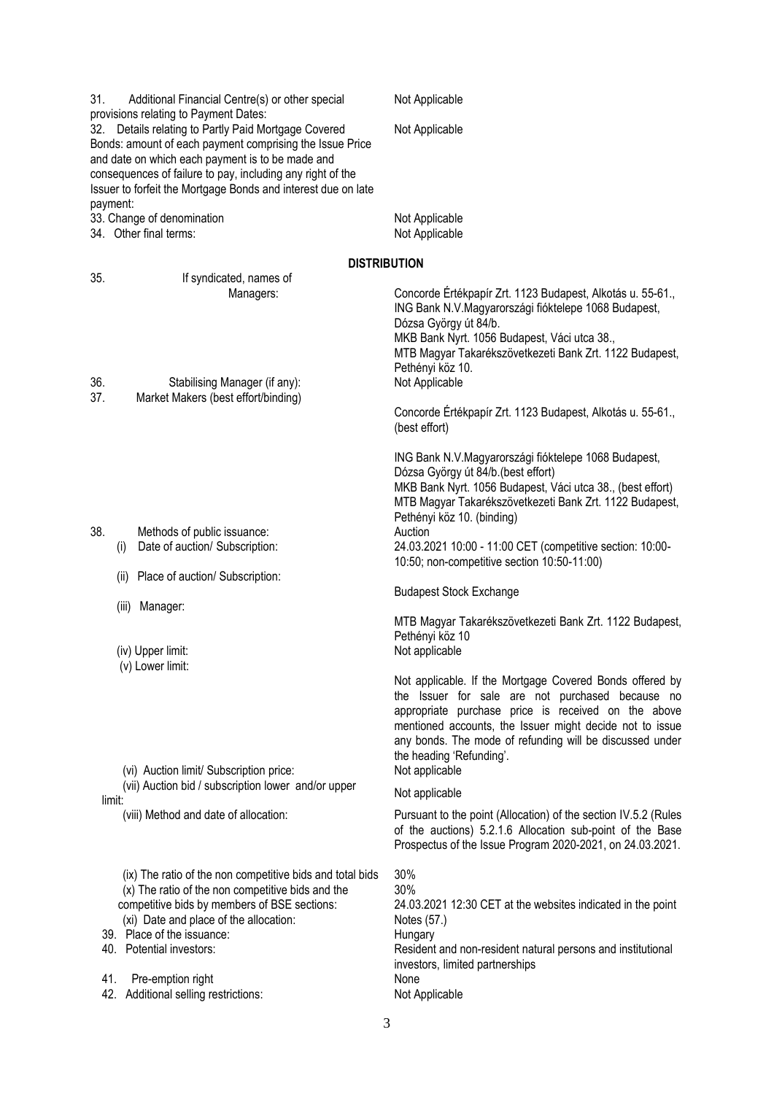| 31.<br>Additional Financial Centre(s) or other special<br>provisions relating to Payment Dates:                                                                                                                                                                                                                                           | Not Applicable                                                                                                                                                                                                                                                                                                                            |
|-------------------------------------------------------------------------------------------------------------------------------------------------------------------------------------------------------------------------------------------------------------------------------------------------------------------------------------------|-------------------------------------------------------------------------------------------------------------------------------------------------------------------------------------------------------------------------------------------------------------------------------------------------------------------------------------------|
| 32. Details relating to Partly Paid Mortgage Covered<br>Bonds: amount of each payment comprising the Issue Price<br>and date on which each payment is to be made and<br>consequences of failure to pay, including any right of the<br>Issuer to forfeit the Mortgage Bonds and interest due on late<br>payment:                           | Not Applicable                                                                                                                                                                                                                                                                                                                            |
| 33. Change of denomination<br>34. Other final terms:                                                                                                                                                                                                                                                                                      | Not Applicable<br>Not Applicable                                                                                                                                                                                                                                                                                                          |
| <b>DISTRIBUTION</b>                                                                                                                                                                                                                                                                                                                       |                                                                                                                                                                                                                                                                                                                                           |
| 35.<br>If syndicated, names of<br>Managers:<br>36.<br>Stabilising Manager (if any):                                                                                                                                                                                                                                                       | Concorde Értékpapír Zrt. 1123 Budapest, Alkotás u. 55-61.,<br>ING Bank N.V.Magyarországi fióktelepe 1068 Budapest,<br>Dózsa György út 84/b.<br>MKB Bank Nyrt. 1056 Budapest, Váci utca 38.,<br>MTB Magyar Takarékszövetkezeti Bank Zrt. 1122 Budapest,<br>Pethényi köz 10.<br>Not Applicable                                              |
| 37.<br>Market Makers (best effort/binding)                                                                                                                                                                                                                                                                                                | Concorde Értékpapír Zrt. 1123 Budapest, Alkotás u. 55-61.,<br>(best effort)                                                                                                                                                                                                                                                               |
|                                                                                                                                                                                                                                                                                                                                           | ING Bank N.V.Magyarországi fióktelepe 1068 Budapest,<br>Dózsa György út 84/b. (best effort)<br>MKB Bank Nyrt. 1056 Budapest, Váci utca 38., (best effort)<br>MTB Magyar Takarékszövetkezeti Bank Zrt. 1122 Budapest,<br>Pethényi köz 10. (binding)                                                                                        |
| 38.<br>Methods of public issuance:<br>Date of auction/ Subscription:<br>(i)                                                                                                                                                                                                                                                               | Auction<br>24.03.2021 10:00 - 11:00 CET (competitive section: 10:00-<br>10:50; non-competitive section 10:50-11:00)                                                                                                                                                                                                                       |
| Place of auction/ Subscription:<br>(ii)                                                                                                                                                                                                                                                                                                   | <b>Budapest Stock Exchange</b>                                                                                                                                                                                                                                                                                                            |
| (iii)<br>Manager:<br>(iv) Upper limit:<br>(v) Lower limit:                                                                                                                                                                                                                                                                                | MTB Magyar Takarékszövetkezeti Bank Zrt. 1122 Budapest,<br>Pethényi köz 10<br>Not applicable                                                                                                                                                                                                                                              |
| (vi) Auction limit/ Subscription price:<br>(vii) Auction bid / subscription lower and/or upper                                                                                                                                                                                                                                            | Not applicable. If the Mortgage Covered Bonds offered by<br>the Issuer for sale are not purchased because no<br>appropriate purchase price is received on the above<br>mentioned accounts, the Issuer might decide not to issue<br>any bonds. The mode of refunding will be discussed under<br>the heading 'Refunding'.<br>Not applicable |
| limit:                                                                                                                                                                                                                                                                                                                                    | Not applicable                                                                                                                                                                                                                                                                                                                            |
| (viii) Method and date of allocation:                                                                                                                                                                                                                                                                                                     | Pursuant to the point (Allocation) of the section IV.5.2 (Rules<br>of the auctions) 5.2.1.6 Allocation sub-point of the Base<br>Prospectus of the Issue Program 2020-2021, on 24.03.2021.                                                                                                                                                 |
| (ix) The ratio of the non competitive bids and total bids<br>(x) The ratio of the non competitive bids and the<br>competitive bids by members of BSE sections:<br>(xi) Date and place of the allocation:<br>39. Place of the issuance:<br>40. Potential investors:<br>41.<br>Pre-emption right<br>42.<br>Additional selling restrictions: | 30%<br>30%<br>24.03.2021 12:30 CET at the websites indicated in the point<br>Notes (57.)<br>Hungary<br>Resident and non-resident natural persons and institutional<br>investors, limited partnerships<br>None<br>Not Applicable                                                                                                           |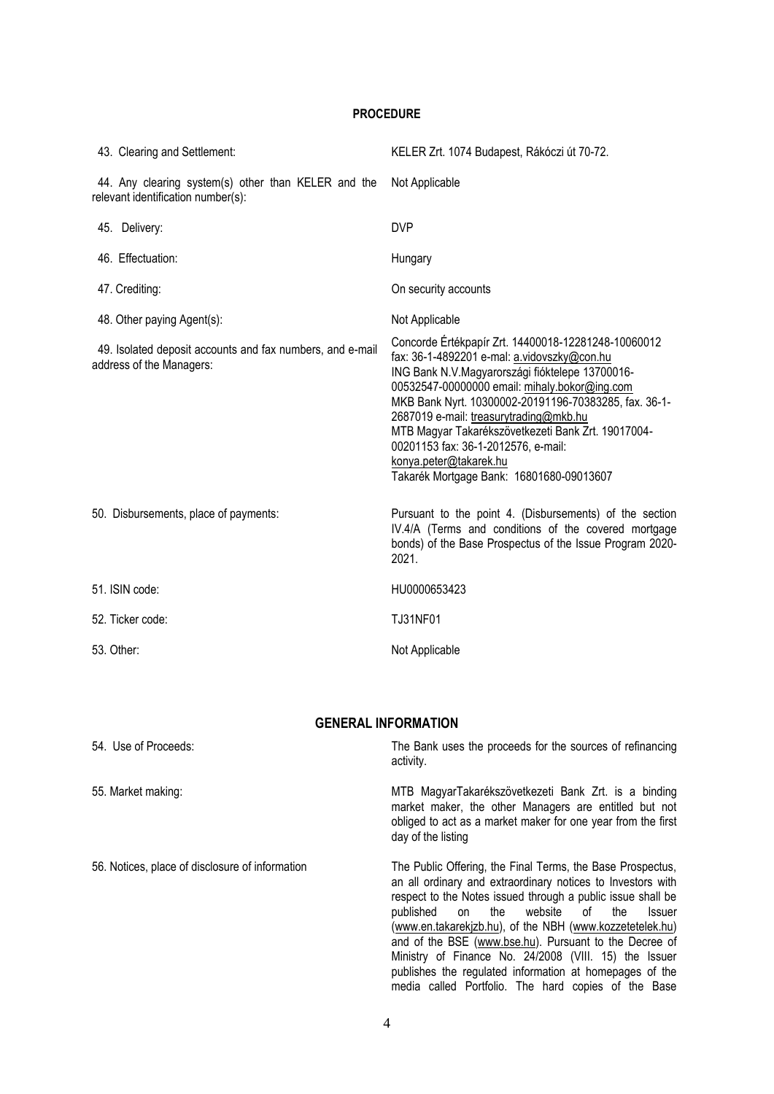### **PROCEDURE**

| 43. Clearing and Settlement:                                                              | KELER Zrt. 1074 Budapest, Rákóczi út 70-72.                                                                                                                                                                                                                                                                                                                                                                                                                                  |
|-------------------------------------------------------------------------------------------|------------------------------------------------------------------------------------------------------------------------------------------------------------------------------------------------------------------------------------------------------------------------------------------------------------------------------------------------------------------------------------------------------------------------------------------------------------------------------|
| 44. Any clearing system(s) other than KELER and the<br>relevant identification number(s): | Not Applicable                                                                                                                                                                                                                                                                                                                                                                                                                                                               |
| 45. Delivery:                                                                             | <b>DVP</b>                                                                                                                                                                                                                                                                                                                                                                                                                                                                   |
| 46. Effectuation:                                                                         | Hungary                                                                                                                                                                                                                                                                                                                                                                                                                                                                      |
| 47. Crediting:                                                                            | On security accounts                                                                                                                                                                                                                                                                                                                                                                                                                                                         |
| 48. Other paying Agent(s):                                                                | Not Applicable                                                                                                                                                                                                                                                                                                                                                                                                                                                               |
| 49. Isolated deposit accounts and fax numbers, and e-mail<br>address of the Managers:     | Concorde Értékpapír Zrt. 14400018-12281248-10060012<br>fax: 36-1-4892201 e-mal: a.vidovszky@con.hu<br>ING Bank N.V.Magyarországi fióktelepe 13700016-<br>00532547-00000000 email: mihaly.bokor@ing.com<br>MKB Bank Nyrt. 10300002-20191196-70383285, fax. 36-1-<br>2687019 e-mail: treasurytrading@mkb.hu<br>MTB Magyar Takarékszövetkezeti Bank Zrt. 19017004-<br>00201153 fax: 36-1-2012576, e-mail:<br>konya.peter@takarek.hu<br>Takarék Mortgage Bank: 16801680-09013607 |
| 50. Disbursements, place of payments:                                                     | Pursuant to the point 4. (Disbursements) of the section<br>IV.4/A (Terms and conditions of the covered mortgage<br>bonds) of the Base Prospectus of the Issue Program 2020-<br>2021.                                                                                                                                                                                                                                                                                         |
| 51. ISIN code:                                                                            | HU0000653423                                                                                                                                                                                                                                                                                                                                                                                                                                                                 |
| 52. Ticker code:                                                                          | <b>TJ31NF01</b>                                                                                                                                                                                                                                                                                                                                                                                                                                                              |
| 53. Other:                                                                                | Not Applicable                                                                                                                                                                                                                                                                                                                                                                                                                                                               |

# **GENERAL INFORMATION**

| 54. Use of Proceeds:                            | The Bank uses the proceeds for the sources of refinancing<br>activity.                                                                                                                                                                                                                                                                                                                                                                                                                                                                                |
|-------------------------------------------------|-------------------------------------------------------------------------------------------------------------------------------------------------------------------------------------------------------------------------------------------------------------------------------------------------------------------------------------------------------------------------------------------------------------------------------------------------------------------------------------------------------------------------------------------------------|
| 55. Market making:                              | MTB MagyarTakarékszövetkezeti Bank Zrt. is a binding<br>market maker, the other Managers are entitled but not<br>obliged to act as a market maker for one year from the first<br>day of the listing                                                                                                                                                                                                                                                                                                                                                   |
| 56. Notices, place of disclosure of information | The Public Offering, the Final Terms, the Base Prospectus,<br>an all ordinary and extraordinary notices to Investors with<br>respect to the Notes issued through a public issue shall be<br>website<br>published<br>the<br>of<br>Issuer<br>on<br>the<br>(www.en.takarekjzb.hu), of the NBH (www.kozzetetelek.hu)<br>and of the BSE (www.bse.hu). Pursuant to the Decree of<br>Ministry of Finance No. 24/2008 (VIII. 15) the Issuer<br>publishes the regulated information at homepages of the<br>media called Portfolio. The hard copies of the Base |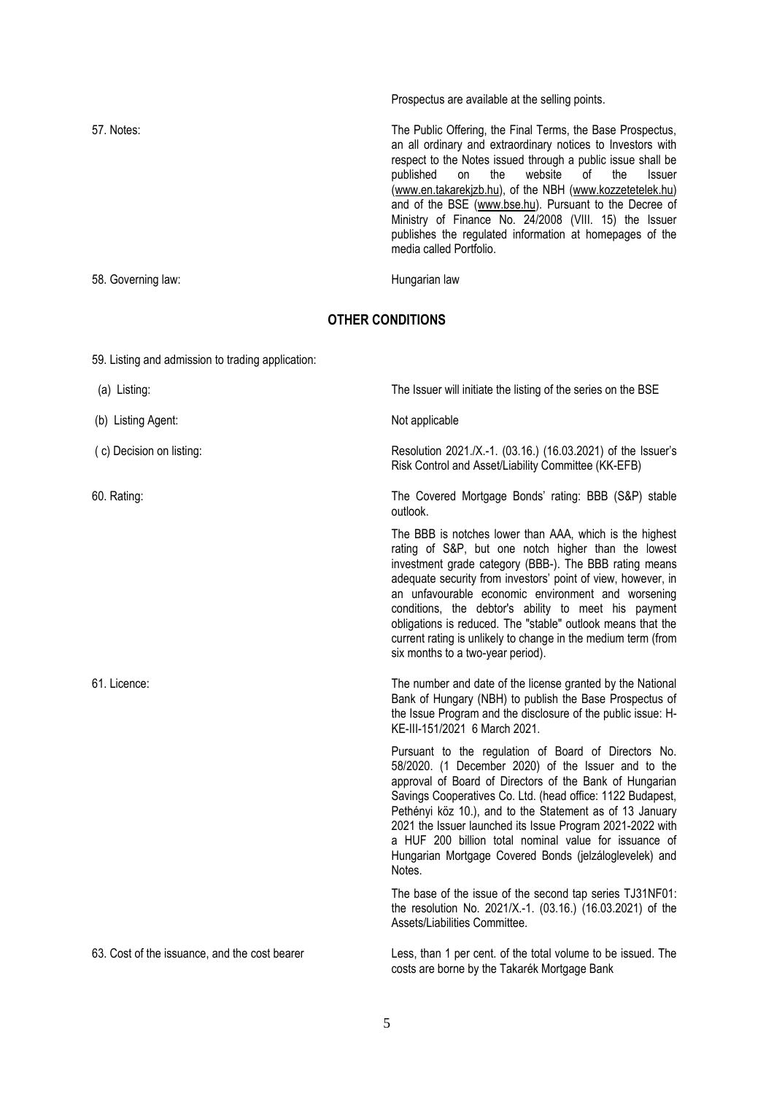|                    | Prospectus are available at the selling points.                                                                                                                                                                                                                                                                                                                                                                                                                                                                      |
|--------------------|----------------------------------------------------------------------------------------------------------------------------------------------------------------------------------------------------------------------------------------------------------------------------------------------------------------------------------------------------------------------------------------------------------------------------------------------------------------------------------------------------------------------|
| 57. Notes:         | The Public Offering, the Final Terms, the Base Prospectus,<br>an all ordinary and extraordinary notices to Investors with<br>respect to the Notes issued through a public issue shall be<br>published on the website of<br><b>Issuer</b><br>the<br>(www.en.takarekjzb.hu), of the NBH (www.kozzetetelek.hu)<br>and of the BSE (www.bse.hu). Pursuant to the Decree of<br>Ministry of Finance No. 24/2008 (VIII. 15) the Issuer<br>publishes the regulated information at homepages of the<br>media called Portfolio. |
| 58. Governing law: | Hungarian law                                                                                                                                                                                                                                                                                                                                                                                                                                                                                                        |

## **OTHER CONDITIONS**

| 59. Listing and admission to trading application: |                                                                                                                                                                                                                                                                                                                                                                                                                                                                                                                             |
|---------------------------------------------------|-----------------------------------------------------------------------------------------------------------------------------------------------------------------------------------------------------------------------------------------------------------------------------------------------------------------------------------------------------------------------------------------------------------------------------------------------------------------------------------------------------------------------------|
| (a) Listing:                                      | The Issuer will initiate the listing of the series on the BSE                                                                                                                                                                                                                                                                                                                                                                                                                                                               |
| (b) Listing Agent:                                | Not applicable                                                                                                                                                                                                                                                                                                                                                                                                                                                                                                              |
| (c) Decision on listing:                          | Resolution 2021./X.-1. (03.16.) (16.03.2021) of the Issuer's<br>Risk Control and Asset/Liability Committee (KK-EFB)                                                                                                                                                                                                                                                                                                                                                                                                         |
| 60. Rating:                                       | The Covered Mortgage Bonds' rating: BBB (S&P) stable<br>outlook.                                                                                                                                                                                                                                                                                                                                                                                                                                                            |
|                                                   | The BBB is notches lower than AAA, which is the highest<br>rating of S&P, but one notch higher than the lowest<br>investment grade category (BBB-). The BBB rating means<br>adequate security from investors' point of view, however, in<br>an unfavourable economic environment and worsening<br>conditions, the debtor's ability to meet his payment<br>obligations is reduced. The "stable" outlook means that the<br>current rating is unlikely to change in the medium term (from<br>six months to a two-year period). |
|                                                   |                                                                                                                                                                                                                                                                                                                                                                                                                                                                                                                             |
| 61. Licence:                                      | The number and date of the license granted by the National<br>Bank of Hungary (NBH) to publish the Base Prospectus of<br>the Issue Program and the disclosure of the public issue: H-<br>KE-III-151/2021 6 March 2021.                                                                                                                                                                                                                                                                                                      |
|                                                   | Pursuant to the regulation of Board of Directors No.<br>58/2020. (1 December 2020) of the Issuer and to the<br>approval of Board of Directors of the Bank of Hungarian<br>Savings Cooperatives Co. Ltd. (head office: 1122 Budapest,<br>Pethényi köz 10.), and to the Statement as of 13 January<br>2021 the Issuer launched its Issue Program 2021-2022 with<br>a HUF 200 billion total nominal value for issuance of<br>Hungarian Mortgage Covered Bonds (jelzáloglevelek) and<br>Notes.                                  |
|                                                   | The base of the issue of the second tap series TJ31NF01:<br>the resolution No. 2021/X.-1. (03.16.) (16.03.2021) of the<br>Assets/Liabilities Committee.                                                                                                                                                                                                                                                                                                                                                                     |